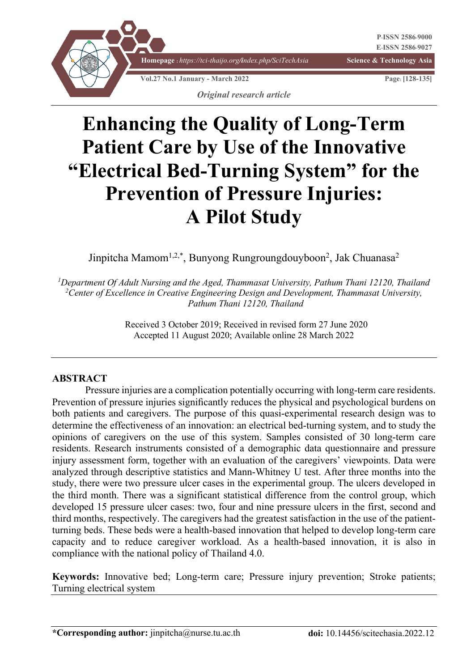

# **Enhancing the Quality of Long-Term Patient Care by Use of the Innovative "Electrical Bed-Turning System" for the Prevention of Pressure Injuries: A Pilot Study**

Jinpitcha Mamom<sup>1,2,\*</sup>, Bunyong Rungroungdouyboon<sup>2</sup>, Jak Chuanasa<sup>2</sup>

*1 Department Of Adult Nursing and the Aged, Thammasat University, Pathum Thani 12120, Thailand 2 Center of Excellence in Creative Engineering Design and Development, Thammasat University, Pathum Thani 12120, Thailand*

> Received 3 October 2019; Received in revised form 27 June 2020 Accepted 11 August 2020; Available online 28 March 2022

#### **ABSTRACT**

Pressure injuries are a complication potentially occurring with long-term care residents. Prevention of pressure injuries significantly reduces the physical and psychological burdens on both patients and caregivers. The purpose of this quasi-experimental research design was to determine the effectiveness of an innovation: an electrical bed-turning system, and to study the opinions of caregivers on the use of this system. Samples consisted of 30 long-term care residents. Research instruments consisted of a demographic data questionnaire and pressure injury assessment form, together with an evaluation of the caregivers' viewpoints. Data were analyzed through descriptive statistics and Mann-Whitney U test. After three months into the study, there were two pressure ulcer cases in the experimental group. The ulcers developed in the third month. There was a significant statistical difference from the control group, which developed 15 pressure ulcer cases: two, four and nine pressure ulcers in the first, second and third months, respectively. The caregivers had the greatest satisfaction in the use of the patientturning beds. These beds were a health-based innovation that helped to develop long-term care capacity and to reduce caregiver workload. As a health-based innovation, it is also in compliance with the national policy of Thailand 4.0.

**Keywords:** Innovative bed; Long-term care; Pressure injury prevention; Stroke patients; Turning electrical system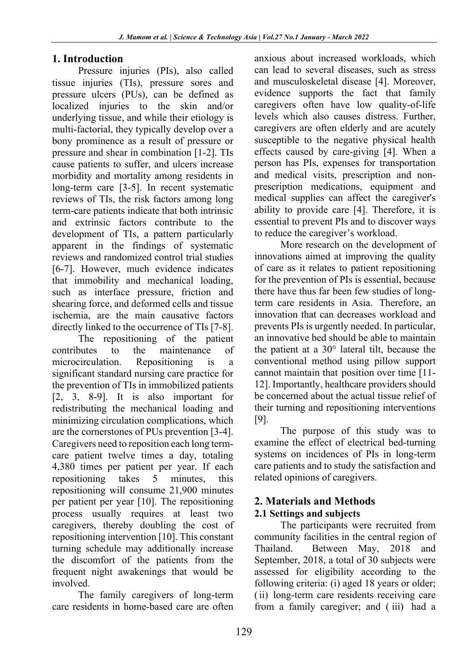## **1. Introduction**

Pressure injuries (PIs), also called tissue injuries (TIs), pressure sores and pressure ulcers (PUs), can be defined as localized injuries to the skin and/or underlying tissue, and while their etiology is multi‐factorial, they typically develop over a bony prominence as a result of pressure or pressure and shear in combination [1-2]. TIs cause patients to suffer, and ulcers increase morbidity and mortality among residents in long-term care [3-5]. In recent systematic reviews of TIs, the risk factors among long term-care patients indicate that both intrinsic and extrinsic factors contribute to the development of TIs, a pattern particularly apparent in the findings of systematic reviews and randomized control trial studies [6-7]. However, much evidence indicates that immobility and mechanical loading, such as interface pressure, friction and shearing force, and deformed cells and tissue ischemia, are the main causative factors directly linked to the occurrence of TIs [7-8].

The repositioning of the patient contributes to the maintenance of microcirculation. Repositioning is a significant standard nursing care practice for the prevention of TIs in immobilized patients [2, 3, 8-9]. It is also important for redistributing the mechanical loading and minimizing circulation complications, which are the cornerstones of PUs prevention [3-4]. Caregivers need to reposition each long termcare patient twelve times a day, totaling 4,380 times per patient per year. If each repositioning takes 5 minutes, this repositioning will consume 21,900 minutes per patient per year [10]. The repositioning process usually requires at least two caregivers, thereby doubling the cost of repositioning intervention [10]. This constant turning schedule may additionally increase the discomfort of the patients from the frequent night awakenings that would be involved.

The family caregivers of long-term care residents in home-based care are often

anxious about increased workloads, which can lead to several diseases, such as stress and musculoskeletal disease [4]. Moreover, evidence supports the fact that family caregivers often have low quality-of-life levels which also causes distress. Further, caregivers are often elderly and are acutely susceptible to the negative physical health effects caused by care-giving [4]. When a person has PIs, expenses for transportation and medical visits, prescription and nonprescription medications, equipment and medical supplies can affect the caregiver's ability to provide care [4]. Therefore, it is essential to prevent PIs and to discover ways to reduce the caregiver's workload.

More research on the development of innovations aimed at improving the quality of care as it relates to patient repositioning for the prevention of PIs is essential, because there have thus far been few studies of longterm care residents in Asia. Therefore, an innovation that can decreases workload and prevents PIs is urgently needed. In particular, an innovative bed should be able to maintain the patient at a 30° lateral tilt, because the conventional method using pillow support cannot maintain that position over time [11- 12]. Importantly, healthcare providers should be concerned about the actual tissue relief of their turning and repositioning interventions [9].

The purpose of this study was to examine the effect of electrical bed-turning systems on incidences of PIs in long-term care patients and to study the satisfaction and related opinions of caregivers.

#### **2. Materials and Methods 2.1 Settings and subjects**

The participants were recruited from community facilities in the central region of Thailand. Between May, 2018 and September, 2018, a total of 30 subjects were assessed for eligibility according to the following criteria: (i) aged 18 years or older; (ii) long-term care residents receiving care from a family caregiver; and ( iii) had a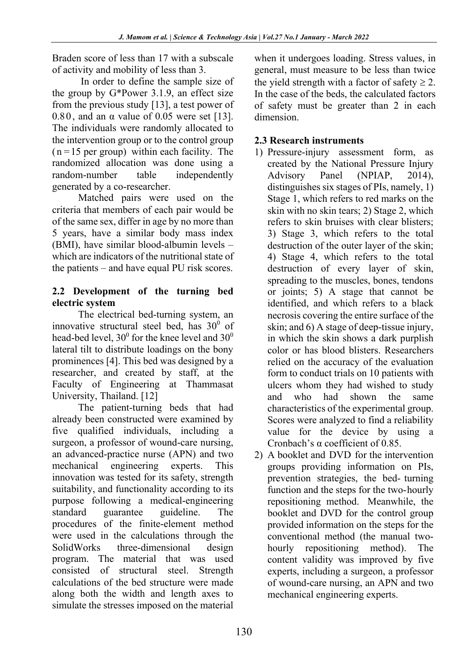Braden score of less than 17 with a subscale of activity and mobility of less than 3.

In order to define the sample size of the group by G\*Power 3.1.9, an effect size from the previous study [13], a test power of 0.80, and an  $\alpha$  value of 0.05 were set [13]. The individuals were randomly allocated to the intervention group or to the control group  $(n=15$  per group) within each facility. The randomized allocation was done using a random-number table independently generated by a co-researcher.

Matched pairs were used on the criteria that members of each pair would be of the same sex, differ in age by no more than 5 years, have a similar body mass index (BMI), have similar blood-albumin levels – which are indicators of the nutritional state of the patients – and have equal PU risk scores.

## **2.2 Development of the turning bed electric system**

The electrical bed-turning system, an innovative structural steel bed, has  $30^0$  of head-bed level,  $30^0$  for the knee level and  $30^0$ lateral tilt to distribute loadings on the bony prominences [4]. This bed was designed by a researcher, and created by staff, at the Faculty of Engineering at Thammasat University, Thailand. [12]

The patient-turning beds that had already been constructed were examined by five qualified individuals, including a surgeon, a professor of wound-care nursing, an advanced-practice nurse (APN) and two mechanical engineering experts. This innovation was tested for its safety, strength suitability, and functionality according to its purpose following a medical-engineering standard guarantee guideline. The procedures of the finite-element method were used in the calculations through the SolidWorks three-dimensional design program. The material that was used consisted of structural steel. Strength calculations of the bed structure were made along both the width and length axes to simulate the stresses imposed on the material when it undergoes loading. Stress values, in general, must measure to be less than twice the yield strength with a factor of safety  $\geq 2$ . In the case of the beds, the calculated factors of safety must be greater than 2 in each dimension.

## **2.3 Research instruments**

- 1) Pressure-injury assessment form, as created by the National Pressure Injury Advisory Panel (NPIAP, 2014), distinguishes six stages of PIs, namely, 1) Stage 1, which refers to red marks on the skin with no skin tears; 2) Stage 2, which refers to skin bruises with clear blisters; 3) Stage 3, which refers to the total destruction of the outer layer of the skin; 4) Stage 4, which refers to the total destruction of every layer of skin, spreading to the muscles, bones, tendons or joints; 5) A stage that cannot be identified, and which refers to a black necrosis covering the entire surface of the skin; and 6) A stage of deep-tissue injury, in which the skin shows a dark purplish color or has blood blisters. Researchers relied on the accuracy of the evaluation form to conduct trials on 10 patients with ulcers whom they had wished to study and who had shown the same characteristics of the experimental group. Scores were analyzed to find a reliability value for the device by using a Cronbach's α coefficient of 0.85.
- 2) A booklet and DVD for the intervention groups providing information on PIs, prevention strategies, the bed- turning function and the steps for the two-hourly repositioning method. Meanwhile, the booklet and DVD for the control group provided information on the steps for the conventional method (the manual twohourly repositioning method). The content validity was improved by five experts, including a surgeon, a professor of wound-care nursing, an APN and two mechanical engineering experts.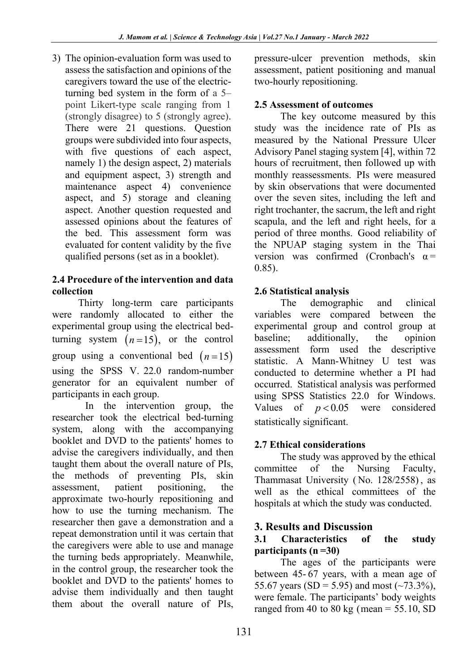3) The opinion-evaluation form was used to assess the satisfaction and opinions of the caregivers toward the use of the electricturning bed system in the form of a 5– point Likert-type scale ranging from 1 (strongly disagree) to 5 (strongly agree). There were 21 questions. Question groups were subdivided into four aspects, with five questions of each aspect, namely 1) the design aspect, 2) materials and equipment aspect, 3) strength and maintenance aspect 4) convenience aspect, and 5) storage and cleaning aspect. Another question requested and assessed opinions about the features of the bed. This assessment form was evaluated for content validity by the five qualified persons (set as in a booklet).

### **2.4 Procedure of the intervention and data collection**

Thirty long-term care participants were randomly allocated to either the experimental group using the electrical bedturning system  $(n=15)$ , or the control group using a conventional bed  $(n=15)$ using the SPSS V. 22.0 random-number generator for an equivalent number of participants in each group.

In the intervention group, the researcher took the electrical bed-turning system, along with the accompanying booklet and DVD to the patients' homes to advise the caregivers individually, and then taught them about the overall nature of PIs, the methods of preventing PIs, skin assessment, patient positioning, the approximate two-hourly repositioning and how to use the turning mechanism. The researcher then gave a demonstration and a repeat demonstration until it was certain that the caregivers were able to use and manage the turning beds appropriately. Meanwhile, in the control group, the researcher took the booklet and DVD to the patients' homes to advise them individually and then taught them about the overall nature of PIs,

pressure-ulcer prevention methods, skin assessment, patient positioning and manual two-hourly repositioning.

## **2.5 Assessment of outcomes**

The key outcome measured by this study was the incidence rate of PIs as measured by the National Pressure Ulcer Advisory Panel staging system [4], within 72 hours of recruitment, then followed up with monthly reassessments. PIs were measured by skin observations that were documented over the seven sites, including the left and right trochanter, the sacrum, the left and right scapula, and the left and right heels, for a period of three months. Good reliability of the NPUAP staging system in the Thai version was confirmed (Cronbach's  $\alpha$  = 0.85).

## **2.6 Statistical analysis**

The demographic and clinical variables were compared between the experimental group and control group at baseline; additionally, the opinion assessment form used the descriptive statistic. A Mann-Whitney U test was conducted to determine whether a PI had occurred. Statistical analysis was performed using SPSS Statistics 22.0 for Windows. Values of  $p < 0.05$  were considered statistically significant.

## **2.7 Ethical considerations**

The study was approved by the ethical committee of the Nursing Faculty, Thammasat University ( No. 128/2558) , as well as the ethical committees of the hospitals at which the study was conducted.

## **3. Results and Discussion**

#### **3.1 Characteristics of the study participants (n =30)**

The ages of the participants were between 45- 67 years, with a mean age of 55.67 years (SD = 5.95) and most  $(\sim 73.3\%)$ , were female. The participants' body weights ranged from 40 to 80 kg (mean =  $55.10$ , SD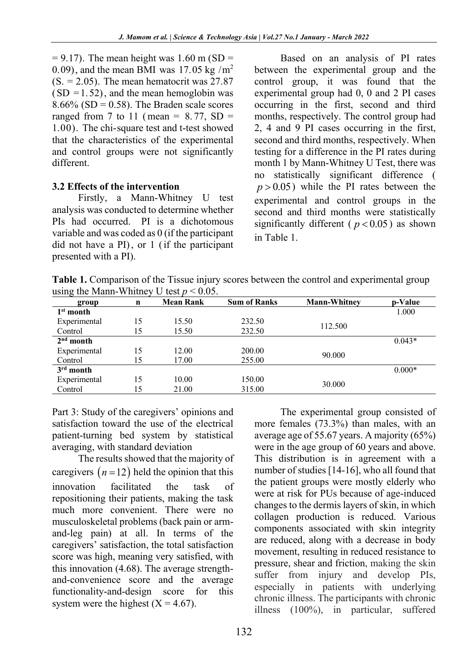$= 9.17$ ). The mean height was 1.60 m (SD = 0.09), and the mean BMI was 17.05 kg  $/m^2$  $(S. = 2.05)$ . The mean hematocrit was 27.87  $(SD = 1.52)$ , and the mean hemoglobin was  $8.66\%$  (SD = 0.58). The Braden scale scores ranged from 7 to 11 (mean =  $8.77$ , SD = 1.00). The chi-square test and t-test showed that the characteristics of the experimental and control groups were not significantly different.

#### **3.2 Effects of the intervention**

Firstly, a Mann-Whitney U test analysis was conducted to determine whether PIs had occurred. PI is a dichotomous variable and was coded as 0 (if the participant did not have a PI), or 1 (if the participant presented with a PI).

Based on an analysis of PI rates between the experimental group and the control group, it was found that the experimental group had 0, 0 and 2 PI cases occurring in the first, second and third months, respectively. The control group had 2, 4 and 9 PI cases occurring in the first, second and third months, respectively. When testing for a difference in the PI rates during month 1 by Mann-Whitney U Test, there was no statistically significant difference (  $p > 0.05$ ) while the PI rates between the experimental and control groups in the second and third months were statistically significantly different ( $p < 0.05$ ) as shown in Table 1.

**Table 1.** Comparison of the Tissue injury scores between the control and experimental group using the Mann-Whitney U test  $p \le 0.05$ .

| group        | n  | <b>Mean Rank</b> | <b>Sum of Ranks</b> | <b>Mann-Whitney</b> | p-Value  |
|--------------|----|------------------|---------------------|---------------------|----------|
| $1st$ month  |    |                  |                     |                     | 1.000    |
| Experimental | 15 | 15.50            | 232.50              | 112.500             |          |
| Control      | 15 | 15.50            | 232.50              |                     |          |
| $2nd$ month  |    |                  |                     |                     | $0.043*$ |
| Experimental | 15 | 12.00            | 200.00              | 90.000              |          |
| Control      | 15 | 17.00            | 255.00              |                     |          |
| $3rd$ month  |    |                  |                     |                     | $0.000*$ |
| Experimental | 15 | 10.00            | 150.00              | 30.000              |          |
| Control      | 15 | 21.00            | 315.00              |                     |          |

Part 3: Study of the caregivers' opinions and satisfaction toward the use of the electrical patient-turning bed system by statistical averaging, with standard deviation

The results showed that the majority of caregivers  $(n=12)$  held the opinion that this innovation facilitated the task of repositioning their patients, making the task much more convenient. There were no musculoskeletal problems (back pain or armand-leg pain) at all. In terms of the caregivers' satisfaction, the total satisfaction score was high, meaning very satisfied, with this innovation (4.68). The average strengthand-convenience score and the average functionality-and-design score for this system were the highest  $(X = 4.67)$ .

The experimental group consisted of more females (73.3%) than males, with an average age of 55.67 years. A majority (65%) were in the age group of 60 years and above. This distribution is in agreement with a number of studies [14-16], who all found that the patient groups were mostly elderly who were at risk for PUs because of age-induced changes to the dermis layers of skin, in which collagen production is reduced. Various components associated with skin integrity are reduced, along with a decrease in body movement, resulting in reduced resistance to pressure, shear and friction, making the skin suffer from injury and develop PIs, especially in patients with underlying chronic illness. The participants with chronic illness (100%), in particular, suffered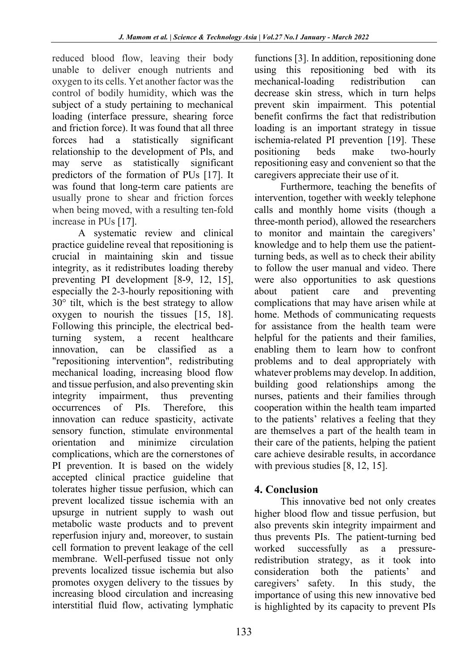reduced blood flow, leaving their body unable to deliver enough nutrients and oxygen to its cells. Yet another factor was the control of bodily humidity, which was the subject of a study pertaining to mechanical loading (interface pressure, shearing force and friction force). It was found that all three forces had a statistically significant relationship to the development of Pls, and may serve as statistically significant predictors of the formation of PUs [17]. It was found that long-term care patients are usually prone to shear and friction forces when being moved, with a resulting ten-fold increase in PUs [17].

A systematic review and clinical practice guideline reveal that repositioning is crucial in maintaining skin and tissue integrity, as it redistributes loading thereby preventing PI development [8-9, 12, 15], especially the 2-3-hourly repositioning with 30° tilt, which is the best strategy to allow oxygen to nourish the tissues [15, 18]. Following this principle, the electrical bedturning system, a recent healthcare innovation, can be classified as a "repositioning intervention", redistributing mechanical loading, increasing blood flow and tissue perfusion, and also preventing skin integrity impairment, thus preventing occurrences of PIs. Therefore, this innovation can reduce spasticity, activate sensory function, stimulate environmental orientation and minimize circulation complications, which are the cornerstones of PI prevention. It is based on the widely accepted clinical practice guideline that tolerates higher tissue perfusion, which can prevent localized tissue ischemia with an upsurge in nutrient supply to wash out metabolic waste products and to prevent reperfusion injury and, moreover, to sustain cell formation to prevent leakage of the cell membrane. Well-perfused tissue not only prevents localized tissue ischemia but also promotes oxygen delivery to the tissues by increasing blood circulation and increasing interstitial fluid flow, activating lymphatic functions [3]. In addition, repositioning done using this repositioning bed with its mechanical-loading redistribution can decrease skin stress, which in turn helps prevent skin impairment. This potential benefit confirms the fact that redistribution loading is an important strategy in tissue ischemia-related PI prevention [19]. These positioning beds make two-hourly repositioning easy and convenient so that the caregivers appreciate their use of it.

Furthermore, teaching the benefits of intervention, together with weekly telephone calls and monthly home visits (though a three-month period), allowed the researchers to monitor and maintain the caregivers' knowledge and to help them use the patientturning beds, as well as to check their ability to follow the user manual and video. There were also opportunities to ask questions about patient care and preventing complications that may have arisen while at home. Methods of communicating requests for assistance from the health team were helpful for the patients and their families, enabling them to learn how to confront problems and to deal appropriately with whatever problems may develop. In addition, building good relationships among the nurses, patients and their families through cooperation within the health team imparted to the patients' relatives a feeling that they are themselves a part of the health team in their care of the patients, helping the patient care achieve desirable results, in accordance with previous studies [8, 12, 15].

## **4. Conclusion**

This innovative bed not only creates higher blood flow and tissue perfusion, but also prevents skin integrity impairment and thus prevents PIs. The patient-turning bed worked successfully as a pressureredistribution strategy, as it took into consideration both the patients' and caregivers' safety. In this study, the importance of using this new innovative bed is highlighted by its capacity to prevent PIs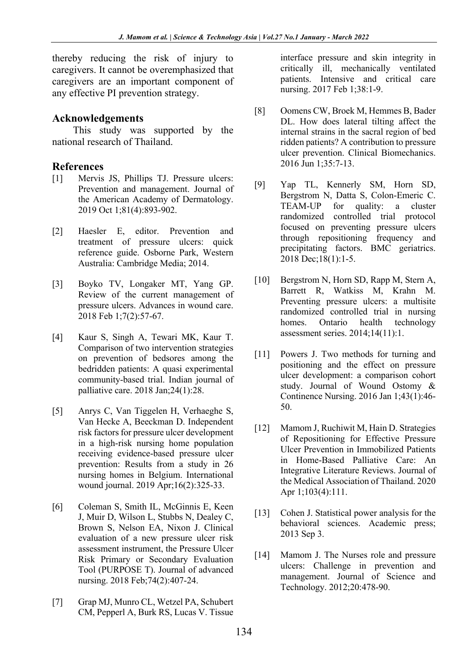thereby reducing the risk of injury to caregivers. It cannot be overemphasized that caregivers are an important component of any effective PI prevention strategy.

#### **Acknowledgements**

This study was supported by the national research of Thailand.

### **References**

- [1] Mervis JS, Phillips TJ. Pressure ulcers: Prevention and management. Journal of the American Academy of Dermatology. 2019 Oct 1;81(4):893-902.
- [2] Haesler E, editor. Prevention and treatment of pressure ulcers: quick reference guide. Osborne Park, Western Australia: Cambridge Media; 2014.
- [3] Boyko TV, Longaker MT, Yang GP. Review of the current management of pressure ulcers. Advances in wound care. 2018 Feb 1;7(2):57-67.
- [4] Kaur S, Singh A, Tewari MK, Kaur T. Comparison of two intervention strategies on prevention of bedsores among the bedridden patients: A quasi experimental community-based trial. Indian journal of palliative care. 2018 Jan;24(1):28.
- [5] Anrys C, Van Tiggelen H, Verhaeghe S, Van Hecke A, Beeckman D. Independent risk factors for pressure ulcer development in a high‐risk nursing home population receiving evidence‐based pressure ulcer prevention: Results from a study in 26 nursing homes in Belgium. International wound journal. 2019 Apr;16(2):325-33.
- [6] Coleman S, Smith IL, McGinnis E, Keen J, Muir D, Wilson L, Stubbs N, Dealey C, Brown S, Nelson EA, Nixon J. Clinical evaluation of a new pressure ulcer risk assessment instrument, the Pressure Ulcer Risk Primary or Secondary Evaluation Tool (PURPOSE T). Journal of advanced nursing. 2018 Feb;74(2):407-24.
- [7] Grap MJ, Munro CL, Wetzel PA, Schubert CM, Pepperl A, Burk RS, Lucas V. Tissue

interface pressure and skin integrity in critically ill, mechanically ventilated patients. Intensive and critical care nursing. 2017 Feb 1;38:1-9.

- [8] Oomens CW, Broek M, Hemmes B, Bader DL. How does lateral tilting affect the internal strains in the sacral region of bed ridden patients? A contribution to pressure ulcer prevention. Clinical Biomechanics. 2016 Jun 1;35:7-13.
- [9] Yap TL, Kennerly SM, Horn SD, Bergstrom N, Datta S, Colon-Emeric C. TEAM-UP for quality: a cluster randomized controlled trial protocol focused on preventing pressure ulcers through repositioning frequency and precipitating factors. BMC geriatrics. 2018 Dec;18(1):1-5.
- [10] Bergstrom N, Horn SD, Rapp M, Stern A, Barrett R, Watkiss M, Krahn M. Preventing pressure ulcers: a multisite randomized controlled trial in nursing homes. Ontario health technology assessment series. 2014;14(11):1.
- [11] Powers J. Two methods for turning and positioning and the effect on pressure ulcer development: a comparison cohort study. Journal of Wound Ostomy & Continence Nursing. 2016 Jan 1;43(1):46- 50.
- [12] Mamom J, Ruchiwit M, Hain D. Strategies of Repositioning for Effective Pressure Ulcer Prevention in Immobilized Patients in Home-Based Palliative Care: An Integrative Literature Reviews. Journal of the Medical Association of Thailand. 2020 Apr 1;103(4):111.
- [13] Cohen J. Statistical power analysis for the behavioral sciences. Academic press; 2013 Sep 3.
- [14] Mamom J. The Nurses role and pressure ulcers: Challenge in prevention and management. Journal of Science and Technology. 2012;20:478-90.